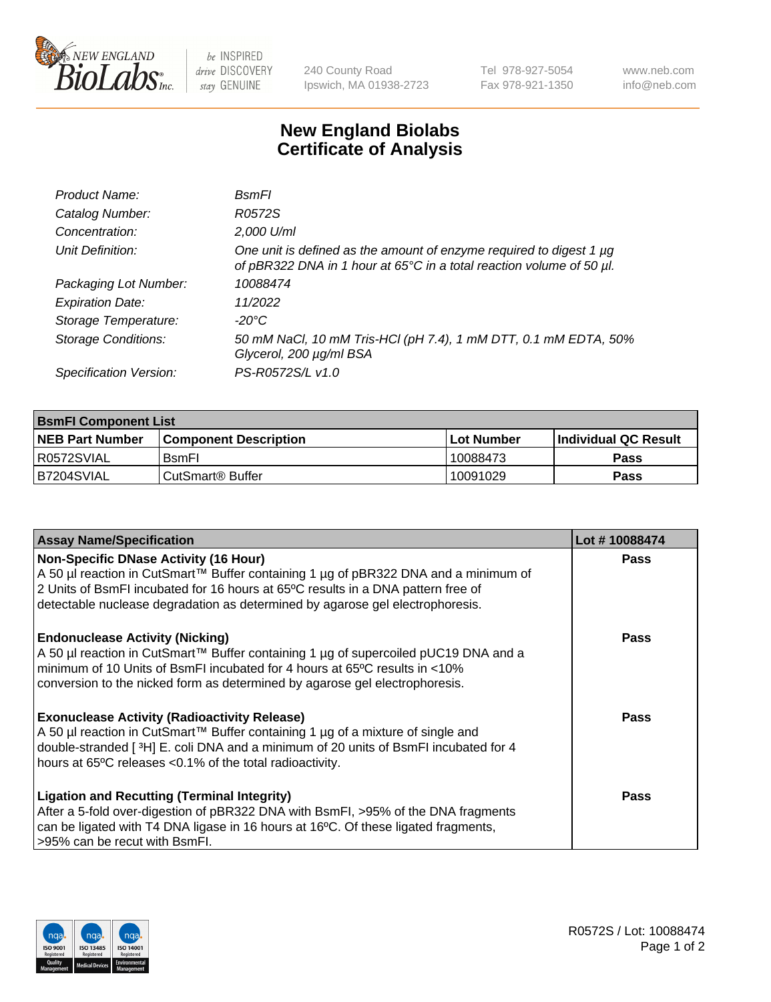

 $be$  INSPIRED drive DISCOVERY stay GENUINE

240 County Road Ipswich, MA 01938-2723 Tel 978-927-5054 Fax 978-921-1350 www.neb.com info@neb.com

## **New England Biolabs Certificate of Analysis**

| Product Name:              | BsmFl                                                                                                                                       |
|----------------------------|---------------------------------------------------------------------------------------------------------------------------------------------|
| Catalog Number:            | R0572S                                                                                                                                      |
| Concentration:             | 2,000 U/ml                                                                                                                                  |
| Unit Definition:           | One unit is defined as the amount of enzyme required to digest 1 µg<br>of pBR322 DNA in 1 hour at 65°C in a total reaction volume of 50 µl. |
| Packaging Lot Number:      | 10088474                                                                                                                                    |
| <b>Expiration Date:</b>    | 11/2022                                                                                                                                     |
| Storage Temperature:       | -20°C                                                                                                                                       |
| <b>Storage Conditions:</b> | 50 mM NaCl, 10 mM Tris-HCl (pH 7.4), 1 mM DTT, 0.1 mM EDTA, 50%<br>Glycerol, 200 µg/ml BSA                                                  |
| Specification Version:     | PS-R0572S/L v1.0                                                                                                                            |

| <b>BsmFI Component List</b> |                         |              |                             |  |
|-----------------------------|-------------------------|--------------|-----------------------------|--|
| <b>NEB Part Number</b>      | l Component Description | l Lot Number | <b>Individual QC Result</b> |  |
| I R0572SVIAL                | <b>B</b> smFI           | 10088473     | Pass                        |  |
| B7204SVIAL                  | l CutSmart® Buffer      | 10091029     | Pass                        |  |

| <b>Assay Name/Specification</b>                                                                                                                                                                                                                                                                          | Lot #10088474 |
|----------------------------------------------------------------------------------------------------------------------------------------------------------------------------------------------------------------------------------------------------------------------------------------------------------|---------------|
| <b>Non-Specific DNase Activity (16 Hour)</b><br>A 50 µl reaction in CutSmart™ Buffer containing 1 µg of pBR322 DNA and a minimum of<br>2 Units of BsmFI incubated for 16 hours at 65°C results in a DNA pattern free of<br>detectable nuclease degradation as determined by agarose gel electrophoresis. | Pass          |
| <b>Endonuclease Activity (Nicking)</b><br>A 50 µl reaction in CutSmart™ Buffer containing 1 µg of supercoiled pUC19 DNA and a<br>minimum of 10 Units of BsmFI incubated for 4 hours at 65 <sup>o</sup> C results in <10%<br>conversion to the nicked form as determined by agarose gel electrophoresis.  | Pass          |
| <b>Exonuclease Activity (Radioactivity Release)</b><br>A 50 µl reaction in CutSmart™ Buffer containing 1 µg of a mixture of single and<br>double-stranded [3H] E. coli DNA and a minimum of 20 units of BsmFI incubated for 4<br>hours at 65°C releases <0.1% of the total radioactivity.                | Pass          |
| <b>Ligation and Recutting (Terminal Integrity)</b><br>After a 5-fold over-digestion of pBR322 DNA with BsmFI, >95% of the DNA fragments<br>can be ligated with T4 DNA ligase in 16 hours at 16°C. Of these ligated fragments,<br>>95% can be recut with BsmFI.                                           | Pass          |